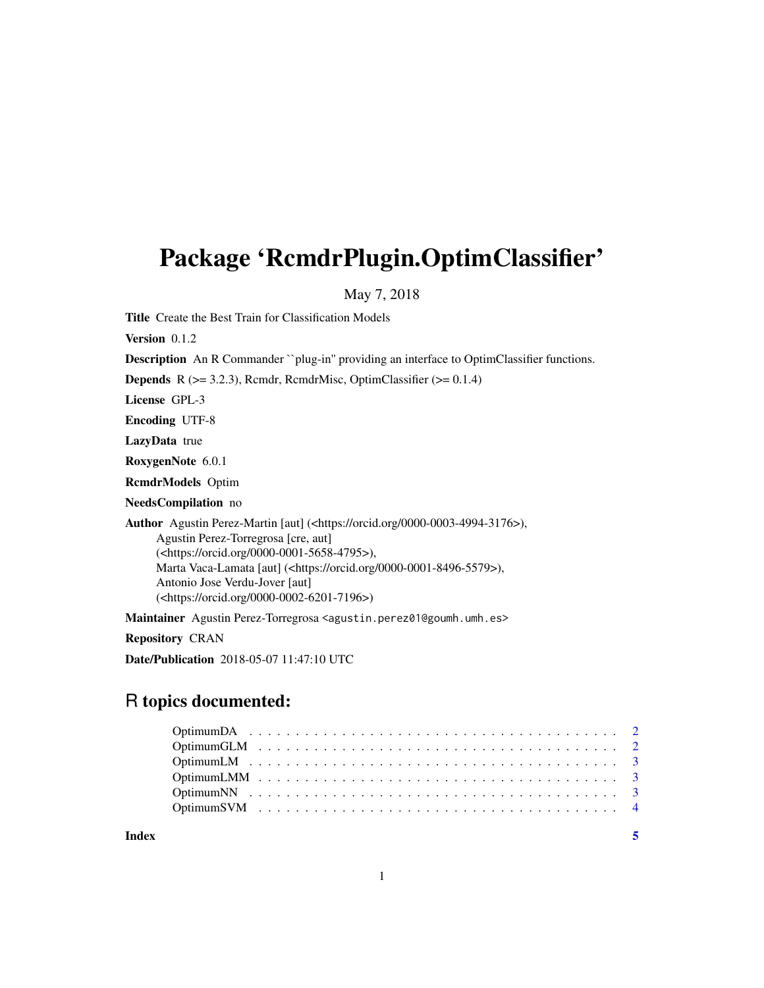## <span id="page-0-0"></span>Package 'RcmdrPlugin.OptimClassifier'

May 7, 2018

Title Create the Best Train for Classification Models

Version 0.1.2

Description An R Commander ``plug-in'' providing an interface to OptimClassifier functions.

**Depends** R  $(>= 3.2.3)$ , Rcmdr, RcmdrMisc, OptimClassifier  $(>= 0.1.4)$ 

License GPL-3

Encoding UTF-8

LazyData true

RoxygenNote 6.0.1

RcmdrModels Optim

NeedsCompilation no

Author Agustin Perez-Martin [aut] (<https://orcid.org/0000-0003-4994-3176>), Agustin Perez-Torregrosa [cre, aut] (<https://orcid.org/0000-0001-5658-4795>), Marta Vaca-Lamata [aut] (<https://orcid.org/0000-0001-8496-5579>), Antonio Jose Verdu-Jover [aut] (<https://orcid.org/0000-0002-6201-7196>)

Maintainer Agustin Perez-Torregrosa <agustin.perez01@goumh.umh.es>

Repository CRAN

Date/Publication 2018-05-07 11:47:10 UTC

### R topics documented:

**Index** [5](#page-4-0). The second state of the second state of the second state of the second state of the second state of the second state of the second state of the second state of the second state of the second state of the second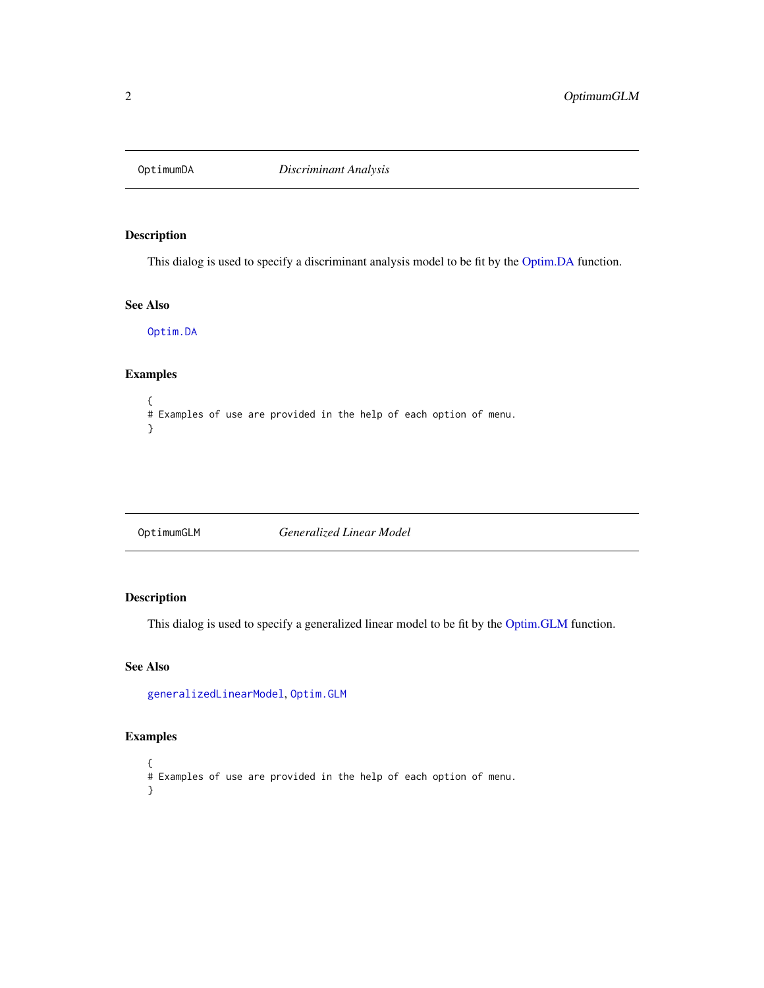<span id="page-1-0"></span>

#### Description

This dialog is used to specify a discriminant analysis model to be fit by the [Optim.DA](#page-0-0) function.

#### See Also

[Optim.DA](#page-0-0)

#### Examples

```
{
# Examples of use are provided in the help of each option of menu.
}
```
OptimumGLM *Generalized Linear Model*

#### Description

This dialog is used to specify a generalized linear model to be fit by the [Optim.GLM](#page-0-0) function.

#### See Also

[generalizedLinearModel](#page-0-0), [Optim.GLM](#page-0-0)

#### Examples

```
{
# Examples of use are provided in the help of each option of menu.
}
```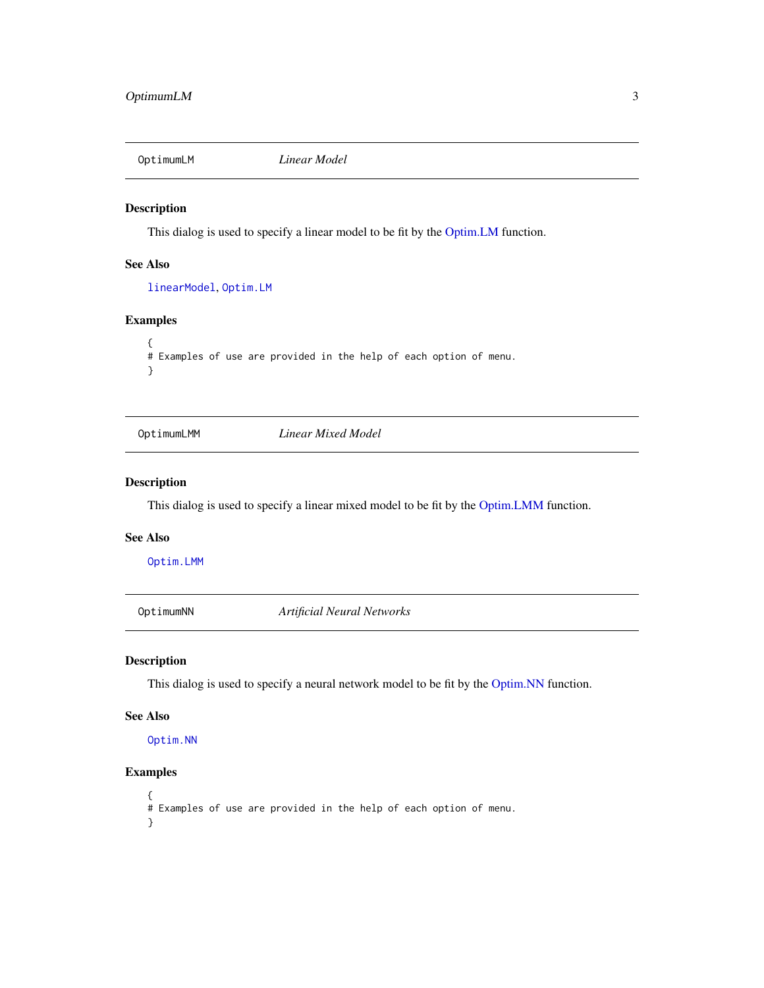<span id="page-2-0"></span>

#### Description

This dialog is used to specify a linear model to be fit by the [Optim.LM](#page-0-0) function.

#### See Also

[linearModel](#page-0-0), [Optim.LM](#page-0-0)

#### Examples

```
{
# Examples of use are provided in the help of each option of menu.
}
```
OptimumLMM *Linear Mixed Model*

#### Description

This dialog is used to specify a linear mixed model to be fit by the [Optim.LMM](#page-0-0) function.

#### See Also

[Optim.LMM](#page-0-0)

OptimumNN *Artificial Neural Networks*

#### Description

This dialog is used to specify a neural network model to be fit by the [Optim.NN](#page-0-0) function.

#### See Also

[Optim.NN](#page-0-0)

#### Examples

```
{
# Examples of use are provided in the help of each option of menu.
}
```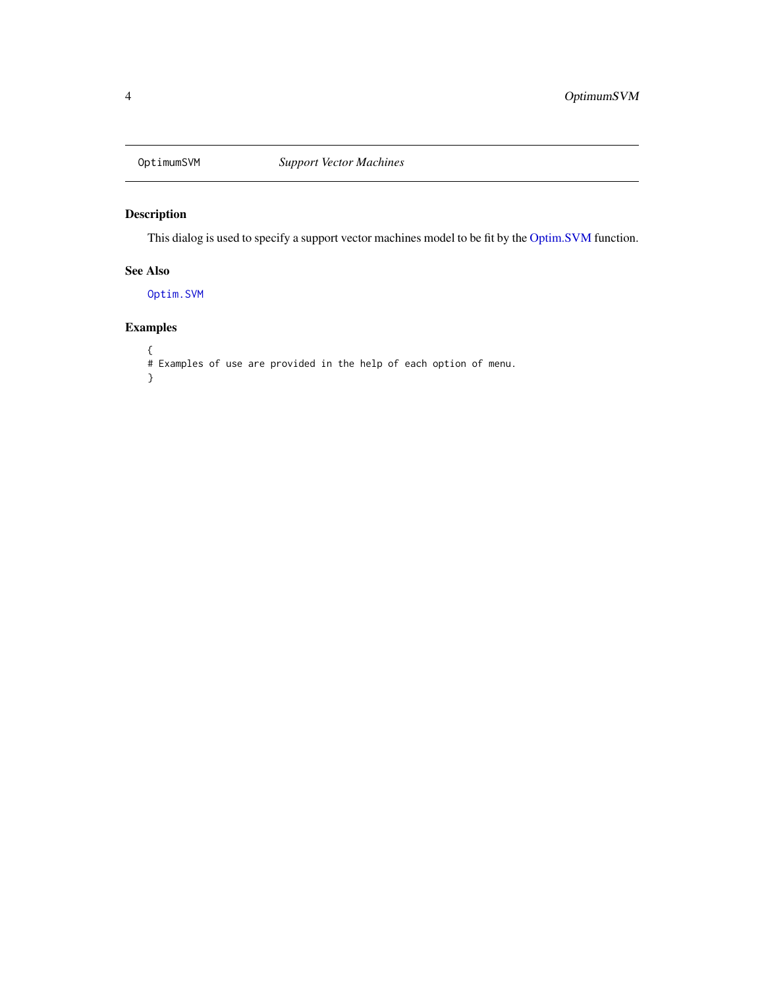<span id="page-3-0"></span>

#### Description

This dialog is used to specify a support vector machines model to be fit by the [Optim.SVM](#page-0-0) function.

#### See Also

[Optim.SVM](#page-0-0)

#### Examples

```
{
# Examples of use are provided in the help of each option of menu.
}
```